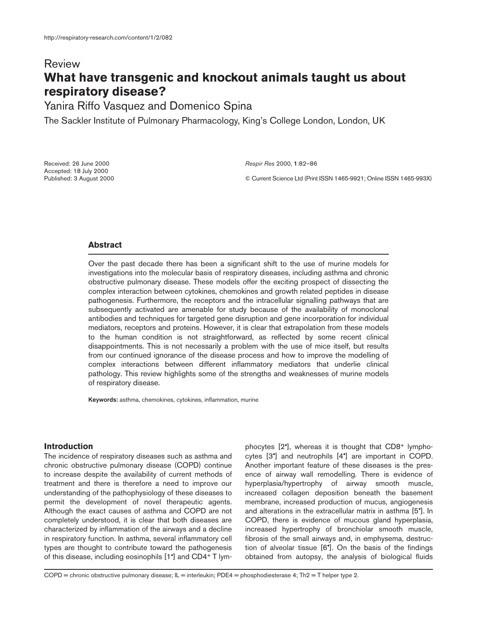# Review **What have transgenic and knockout animals taught us about respiratory disease?**

Yanira Riffo Vasquez and Domenico Spina

The Sackler Institute of Pulmonary Pharmacology, King's College London, London, UK

Received: 26 June 2000 Accepted: 18 July 2000 Published: 3 August 2000 *Respir Res* 2000, **1**:82–86

© Current Science Ltd (Print ISSN 1465-9921; Online ISSN 1465-993X)

## **Abstract**

Over the past decade there has been a significant shift to the use of murine models for investigations into the molecular basis of respiratory diseases, including asthma and chronic obstructive pulmonary disease. These models offer the exciting prospect of dissecting the complex interaction between cytokines, chemokines and growth related peptides in disease pathogenesis. Furthermore, the receptors and the intracellular signalling pathways that are subsequently activated are amenable for study because of the availability of monoclonal antibodies and techniques for targeted gene disruption and gene incorporation for individual mediators, receptors and proteins. However, it is clear that extrapolation from these models to the human condition is not straightforward, as reflected by some recent clinical disappointments. This is not necessarily a problem with the use of mice itself, but results from our continued ignorance of the disease process and how to improve the modelling of complex interactions between different inflammatory mediators that underlie clinical pathology. This review highlights some of the strengths and weaknesses of murine models of respiratory disease.

**Keywords:** asthma, chemokines, cytokines, inflammation, murine

### **Introduction**

The incidence of respiratory diseases such as asthma and chronic obstructive pulmonary disease (COPD) continue to increase despite the availability of current methods of treatment and there is therefore a need to improve our understanding of the pathophysiology of these diseases to permit the development of novel therapeutic agents. Although the exact causes of asthma and COPD are not completely understood, it is clear that both diseases are characterized by inflammation of the airways and a decline in respiratory function. In asthma, several inflammatory cell types are thought to contribute toward the pathogenesis of this disease, including eosinophils [1•] and CD4+ T lymphocytes [2•], whereas it is thought that CD8+ lymphocytes [3•] and neutrophils [4•] are important in COPD. Another important feature of these diseases is the presence of airway wall remodelling. There is evidence of hyperplasia/hypertrophy of airway smooth muscle, increased collagen deposition beneath the basement membrane, increased production of mucus, angiogenesis and alterations in the extracellular matrix in asthma [5•]. In COPD, there is evidence of mucous gland hyperplasia, increased hypertrophy of bronchiolar smooth muscle, fibrosis of the small airways and, in emphysema, destruction of alveolar tissue [6•]. On the basis of the findings obtained from autopsy, the analysis of biological fluids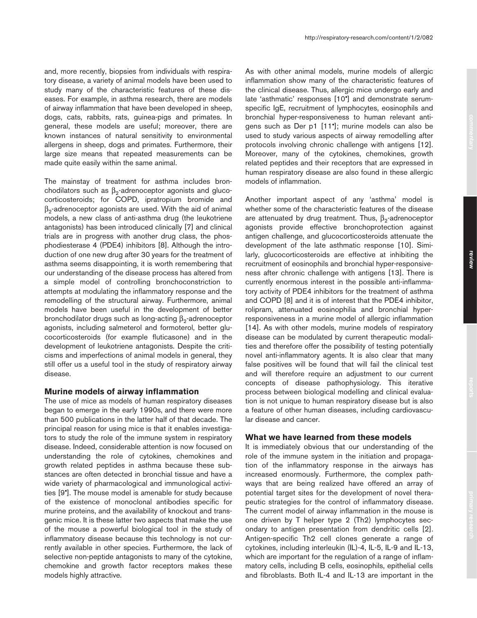and, more recently, biopsies from individuals with respiratory disease, a variety of animal models have been used to study many of the characteristic features of these diseases. For example, in asthma research, there are models of airway inflammation that have been developed in sheep, dogs, cats, rabbits, rats, guinea-pigs and primates. In general, these models are useful; moreover, there are known instances of natural sensitivity to environmental allergens in sheep, dogs and primates. Furthermore, their large size means that repeated measurements can be made quite easily within the same animal.

The mainstay of treatment for asthma includes bronchodilators such as  $\beta_2$ -adrenoceptor agonists and glucocorticosteroids; for COPD, ipratropium bromide and  $\beta_2$ -adrenoceptor agonists are used. With the aid of animal models, a new class of anti-asthma drug (the leukotriene antagonists) has been introduced clinically [7] and clinical trials are in progress with another drug class, the phosphodiesterase 4 (PDE4) inhibitors [8]. Although the introduction of one new drug after 30 years for the treatment of asthma seems disappointing, it is worth remembering that our understanding of the disease process has altered from a simple model of controlling bronchoconstriction to attempts at modulating the inflammatory response and the remodelling of the structural airway. Furthermore, animal models have been useful in the development of better bronchodilator drugs such as long-acting  $β_2$ -adrenoceptor agonists, including salmeterol and formoterol, better glucocorticosteroids (for example fluticasone) and in the development of leukotriene antagonists. Despite the criticisms and imperfections of animal models in general, they still offer us a useful tool in the study of respiratory airway disease.

#### **Murine models of airway inflammation**

The use of mice as models of human respiratory diseases began to emerge in the early 1990s, and there were more than 500 publications in the latter half of that decade. The principal reason for using mice is that it enables investigators to study the role of the immune system in respiratory disease. Indeed, considerable attention is now focused on understanding the role of cytokines, chemokines and growth related peptides in asthma because these substances are often detected in bronchial tissue and have a wide variety of pharmacological and immunological activities [9•]. The mouse model is amenable for study because of the existence of monoclonal antibodies specific for murine proteins, and the availability of knockout and transgenic mice. It is these latter two aspects that make the use of the mouse a powerful biological tool in the study of inflammatory disease because this technology is not currently available in other species. Furthermore, the lack of selective non-peptide antagonists to many of the cytokine, chemokine and growth factor receptors makes these models highly attractive.

As with other animal models, murine models of allergic inflammation show many of the characteristic features of the clinical disease. Thus, allergic mice undergo early and late 'asthmatic' responses [10•] and demonstrate serumspecific IgE, recruitment of lymphocytes, eosinophils and bronchial hyper-responsiveness to human relevant antigens such as Der p1 [11•]; murine models can also be used to study various aspects of airway remodelling after protocols involving chronic challenge with antigens [12]. Moreover, many of the cytokines, chemokines, growth related peptides and their receptors that are expressed in human respiratory disease are also found in these allergic models of inflammation.

Another important aspect of any 'asthma' model is whether some of the characteristic features of the disease are attenuated by drug treatment. Thus,  $β_2$ -adrenoceptor agonists provide effective bronchoprotection against antigen challenge, and glucocorticosteroids attenuate the development of the late asthmatic response [10]. Similarly, glucocorticosteroids are effective at inhibiting the recruitment of eosinophils and bronchial hyper-responsiveness after chronic challenge with antigens [13]. There is currently enormous interest in the possible anti-inflammatory activity of PDE4 inhibitors for the treatment of asthma and COPD [8] and it is of interest that the PDE4 inhibitor, rolipram, attenuated eosinophilia and bronchial hyperresponsiveness in a murine model of allergic inflammation [14]. As with other models, murine models of respiratory disease can be modulated by current therapeutic modalities and therefore offer the possibility of testing potentially novel anti-inflammatory agents. It is also clear that many false positives will be found that will fail the clinical test and will therefore require an adjustment to our current concepts of disease pathophysiology. This iterative process between biological modelling and clinical evaluation is not unique to human respiratory disease but is also a feature of other human diseases, including cardiovascular disease and cancer.

# **What we have learned from these models**

It is immediately obvious that our understanding of the role of the immune system in the initiation and propagation of the inflammatory response in the airways has increased enormously. Furthermore, the complex pathways that are being realized have offered an array of potential target sites for the development of novel therapeutic strategies for the control of inflammatory disease. The current model of airway inflammation in the mouse is one driven by T helper type 2 (Th2) lymphocytes secondary to antigen presentation from dendritic cells [2]. Antigen-specific Th2 cell clones generate a range of cytokines, including interleukin (IL)-4, IL-5, IL-9 and IL-13, which are important for the regulation of a range of inflammatory cells, including B cells, eosinophils, epithelial cells and fibroblasts. Both IL-4 and IL-13 are important in the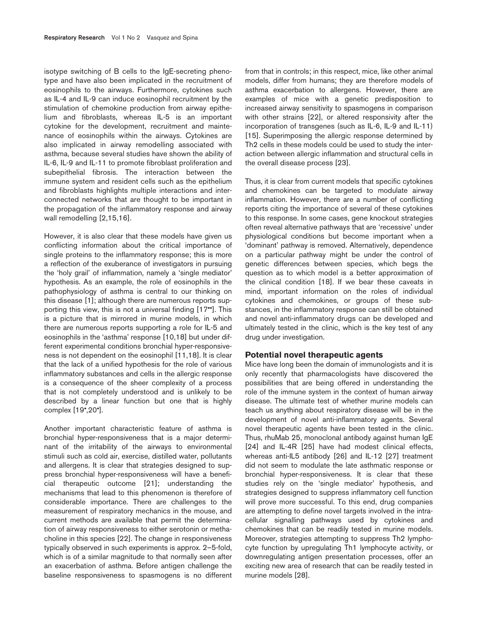isotype switching of B cells to the IgE-secreting phenotype and have also been implicated in the recruitment of eosinophils to the airways. Furthermore, cytokines such as IL-4 and IL-9 can induce eosinophil recruitment by the stimulation of chemokine production from airway epithelium and fibroblasts, whereas IL-5 is an important cytokine for the development, recruitment and maintenance of eosinophils within the airways. Cytokines are also implicated in airway remodelling associated with asthma, because several studies have shown the ability of IL-6, IL-9 and IL-11 to promote fibroblast proliferation and subepithelial fibrosis. The interaction between the immune system and resident cells such as the epithelium and fibroblasts highlights multiple interactions and interconnected networks that are thought to be important in the propagation of the inflammatory response and airway wall remodelling [2,15,16].

However, it is also clear that these models have given us conflicting information about the critical importance of single proteins to the inflammatory response; this is more a reflection of the exuberance of investigators in pursuing the 'holy grail' of inflammation, namely a 'single mediator' hypothesis. As an example, the role of eosinophils in the pathophysiology of asthma is central to our thinking on this disease [1]; although there are numerous reports supporting this view, this is not a universal finding [17••]. This is a picture that is mirrored in murine models, in which there are numerous reports supporting a role for IL-5 and eosinophils in the 'asthma' response [10,18] but under different experimental conditions bronchial hyper-responsiveness is not dependent on the eosinophil [11,18]. It is clear that the lack of a unified hypothesis for the role of various inflammatory substances and cells in the allergic response is a consequence of the sheer complexity of a process that is not completely understood and is unlikely to be described by a linear function but one that is highly complex [19•,20•].

Another important characteristic feature of asthma is bronchial hyper-responsiveness that is a major determinant of the irritability of the airways to environmental stimuli such as cold air, exercise, distilled water, pollutants and allergens. It is clear that strategies designed to suppress bronchial hyper-responsiveness will have a beneficial therapeutic outcome [21]; understanding the mechanisms that lead to this phenomenon is therefore of considerable importance. There are challenges to the measurement of respiratory mechanics in the mouse, and current methods are available that permit the determination of airway responsiveness to either serotonin or methacholine in this species [22]. The change in responsiveness typically observed in such experiments is approx. 2–5-fold, which is of a similar magnitude to that normally seen after an exacerbation of asthma. Before antigen challenge the baseline responsiveness to spasmogens is no different from that in controls; in this respect, mice, like other animal models, differ from humans; they are therefore models of asthma exacerbation to allergens. However, there are examples of mice with a genetic predisposition to increased airway sensitivity to spasmogens in comparison with other strains [22], or altered responsivity after the incorporation of transgenes (such as IL-6, IL-9 and IL-11) [15]. Superimposing the allergic response determined by Th2 cells in these models could be used to study the interaction between allergic inflammation and structural cells in the overall disease process [23].

Thus, it is clear from current models that specific cytokines and chemokines can be targeted to modulate airway inflammation. However, there are a number of conflicting reports citing the importance of several of these cytokines to this response. In some cases, gene knockout strategies often reveal alternative pathways that are 'recessive' under physiological conditions but become important when a 'dominant' pathway is removed. Alternatively, dependence on a particular pathway might be under the control of genetic differences between species, which begs the question as to which model is a better approximation of the clinical condition [18]. If we bear these caveats in mind, important information on the roles of individual cytokines and chemokines, or groups of these substances, in the inflammatory response can still be obtained and novel anti-inflammatory drugs can be developed and ultimately tested in the clinic, which is the key test of any drug under investigation.

#### **Potential novel therapeutic agents**

Mice have long been the domain of immunologists and it is only recently that pharmacologists have discovered the possibilities that are being offered in understanding the role of the immune system in the context of human airway disease. The ultimate test of whether murine models can teach us anything about respiratory disease will be in the development of novel anti-inflammatory agents. Several novel therapeutic agents have been tested in the clinic. Thus, rhuMab 25, monoclonal antibody against human IgE [24] and IL-4R [25] have had modest clinical effects, whereas anti-IL5 antibody [26] and IL-12 [27] treatment did not seem to modulate the late asthmatic response or bronchial hyper-responsiveness. It is clear that these studies rely on the 'single mediator' hypothesis, and strategies designed to suppress inflammatory cell function will prove more successful. To this end, drug companies are attempting to define novel targets involved in the intracellular signalling pathways used by cytokines and chemokines that can be readily tested in murine models. Moreover, strategies attempting to suppress Th2 lymphocyte function by upregulating Th1 lymphocyte activity, or downregulating antigen presentation processes, offer an exciting new area of research that can be readily tested in murine models [28].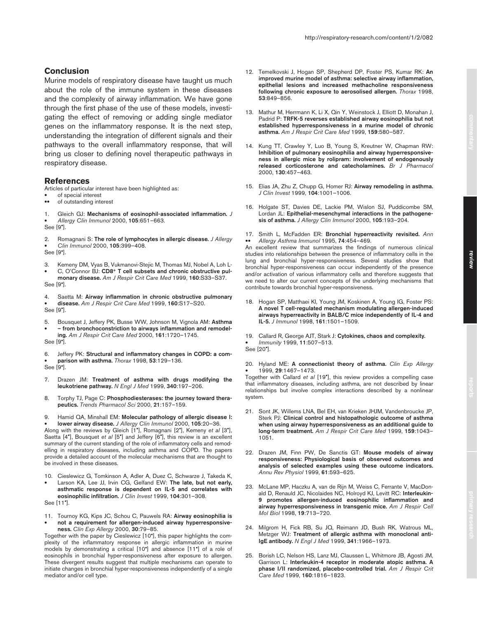## **Conclusion**

Murine models of respiratory disease have taught us much about the role of the immune system in these diseases and the complexity of airway inflammation. We have gone through the first phase of the use of these models, investigating the effect of removing or adding single mediator genes on the inflammatory response. It is the next step, understanding the integration of different signals and their pathways to the overall inflammatory response, that will bring us closer to defining novel therapeutic pathways in respiratory disease.

#### **References**

Articles of particular interest have been highlighted as:

- of special interest<br>• of outstanding inter-
- of outstanding interest

1. Gleich GJ: **Mechanisms of eosinophil-associated inflammation.** *J*  • *Allergy Clin Immunol* 2000, **105**:651–663. See [9•].

2. Romagnani S: **The role of lymphocytes in allergic disease.** *J Allergy*  • *Clin Immunol* 2000, **105**:399–408. See [9•].

- 3. Kemeny DM, Vyas B, Vukmanovi-Stejic M, Thomas MJ, Nobel A, Loh L- • C, O'Connor BJ: **CD8+ T cell subsets and chronic obstructive pul-**
- **monary disease.** *Am J Respir Crit Care Med* 1999, **160**:S33–S37. See [9•].
- 4. Saetta M: **Airway inflammation in chronic obstructive pulmonary**

• **disease.** *Am J Respir Crit Care Med* 1999, **160**:S17–S20.

See [9•].

5. Bousquet J, Jeffery PK, Busse WW, Johnson M, Vignola AM: **Asthma**  • **– from bronchoconstriction to airways inflammation and remodel-**

**ing.** *Am J Respir Crit Care Med* 2000, **161**:1720–1745. See [9•].

6. Jeffery PK: **Structural and inflammatory changes in COPD: a com-** • **parison with asthma.** *Thorax* 1998, **53**:129–136. See [9•].

- 7. Drazen JM: **Treatment of asthma with drugs modifying the leukotriene pathway.** *N Engl J Med* 1999, **340**:197–206.
- 8. Torphy TJ, Page C: **Phosphodiesterases: the journey toward therapeutics.** *Trends Pharmacol Sci* 2000, **21**:157–159.
- 9. Hamid QA, Minshall EM: **Molecular pathology of allergic disease I:**  • **lower airway disease.** *J Allergy Clin Immunol* 2000, **105**:20–36.

Along with the reviews by Gleich [1•], Romagnani [2•], Kemeny *et al* [3•], Saetta [4•], Bousquet *et al* [5•] and Jeffery [6•], this review is an excellent summary of the current standing of the role of inflammatory cells and remodelling in respiratory diseases, including asthma and COPD. The papers provide a detailed account of the molecular mechanisms that are thought to be involved in these diseases.

10. Cieslewicz G, Tomkinson A, Adler A, Duez C, Schwarze J, Takeda K, • Larson KA, Lee JJ, Irvin CG, Gelfand EW: **The late, but not early, asthmatic response is dependent on IL-5 and correlates with eosinophilic infiltration.** *J Clin Invest* 1999, **104**:301–308.

See [11•].

11. Tournoy KG, Kips JC, Schou C, Pauwels RA: **Airway eosinophilia is**  • **not a requirement for allergen-induced airway hyperresponsiveness.** *Clin Exp Allergy* 2000, **30**:79–85.

Together with the paper by Cieslewicz [10•], this paper highlights the complexity of the inflammatory response in allergic inflammation in murine models by demonstrating a critical [10•] and absence [11•] of a role of eosinophils in bronchial hyper-responsiveness after exposure to allergen. These divergent results suggest that multiple mechanisms can operate to initiate changes in bronchial hyper-responsiveness independently of a single mediator and/or cell type.

- 12. Temelkovski J, Hogan SP, Shepherd DP, Foster PS, Kumar RK: **An improved murine model of asthma: selective airway inflammation, epithelial lesions and increased methacholine responsiveness following chronic exposure to aerosolised allergen.** *Thorax* 1998, **53**:849–856.
- 13. Mathur M, Herrmann K, Li X, Qin Y, Weinstock J, Elliott D, Monahan J, Padrid P: **TRFK-5 reverses established airway eosinophilia but not established hyperresponsiveness in a murine model of chronic asthma.** *Am J Respir Crit Care Med* 1999, **159**:580–587.
- 14. Kung TT, Crawley Y, Luo B, Young S, Kreutner W, Chapman RW: **Inhibition of pulmonary eosinophilia and airway hyperresponsiveness in allergic mice by rolipram: involvement of endogenously released corticosterone and catecholamines.** *Br J Pharmacol* 2000, **130**:457–463.
- 15. Elias JA, Zhu Z, Chupp G, Homer RJ: **Airway remodeling in asthma.** *J Clin Invest* 1999, **104**:1001–1006.
- 16. Holgate ST, Davies DE, Lackie PM, Wislon SJ, Puddicombe SM, Lordan JL: **Epithelial-mesenchymal interactions in the pathogenesis of asthma.** *J Allergy Clin Immunol* 2000, **105**:193–204.

17. Smith L, McFadden ER: **Bronchial hyperreactivity revisited.** *Ann*  •• *Allergy Asthma Immunol* 1995, **74**:454–469.

An excellent review that summarizes the findings of numerous clinical studies into relationships between the presence of inflammatory cells in the lung and bronchial hyper-responsiveness. Several studies show that bronchial hyper-responsiveness can occur independently of the presence and/or activation of various inflammatory cells and therefore suggests that we need to alter our current concepts of the underlying mechanisms that contribute towards bronchial hyper-responsiveness.

- 18. Hogan SP, Matthaei KI, Young JM, Koskinen A, Young IG, Foster PS: **A novel T cell-regulated mechanism modulating allergen-induced airways hyperreactivity in BALB/C mice independently of IL-4 and IL-5.** *J Immunol* 1998, **161**:1501–1509.
- 19. Callard R, George AJT, Stark J: **Cytokines, chaos and complexity.**
	- *Immunity* 1999, **11**:507–513.
- See [20•].

20. Hyland ME: **A connectionist theory of asthma.** *Clin Exp Allergy* • 1999, **29**:1467–1473.

Together with Callard *et al* [19•], this review provides a compelling case that inflammatory diseases, including asthma, are not described by linear relationships but involve complex interactions described by a nonlinear system.

- 21. Sont JK, Willems LNA, Bel EH, van Krieken JHJM, Vandenbroucke JP, Sterk PJ: **Clinical control and histopathologic outcome of asthma when using airway hyperresponsiveness as an additional guide to long-term treatment.** *Am J Respir Crit Care Med* 1999, **159**:1043– 1051.
- 22. Drazen JM, Finn PW, De Sanctis GT: **Mouse models of airway responsiveness: Physiological basis of observed outcomes and analysis of selected examples using these outcome indicators.** *Annu Rev Physiol* 1999, **61**:593–625.
- 23. McLane MP, Haczku A, van de Rijn M, Weiss C, Ferrante V, MacDonald D, Renauld JC, Nicolaides NC, Holroyd KJ, Levitt RC: **Interleukin-9 promotes allergen-induced eosinophilic inflammation and airway hyperresponsiveness in transgenic mice.** *Am J Respir Cell Mol Biol* 1998, **19**:713–720.
- 24. Milgrom H, Fick RB, Su JQ, Reimann JD, Bush RK, Watrous ML, Metzger WJ: **Treatment of allergic asthma with monoclonal anti-IgE antibody.** *N Engl J Med* 1999, **341**:1966–1973.
- 25. Borish LC, Nelson HS, Lanz MJ, Claussen L, Whitmore JB, Agosti JM, Garrison L: **Interleukin-4 receptor in moderate atopic asthma. A phase I/II randomized, placebo-controlled trial.** *Am J Respir Crit Care Med* 1999, **160**:1816–1823.